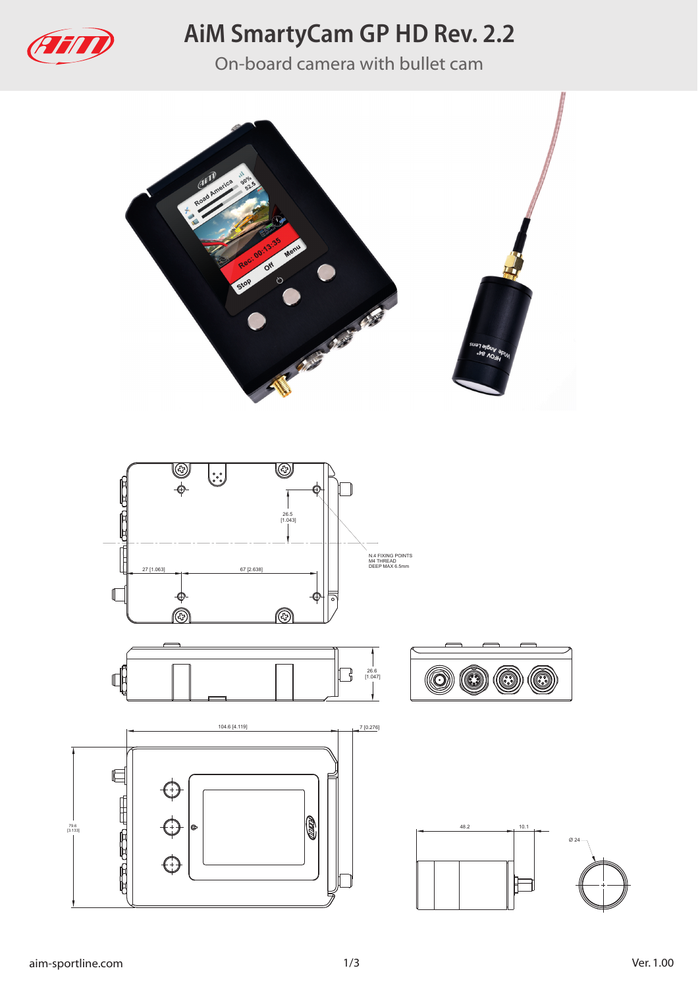

# **AiM SmartyCam GP HD Rev. 2.2**

On-board camera with bullet cam



79.6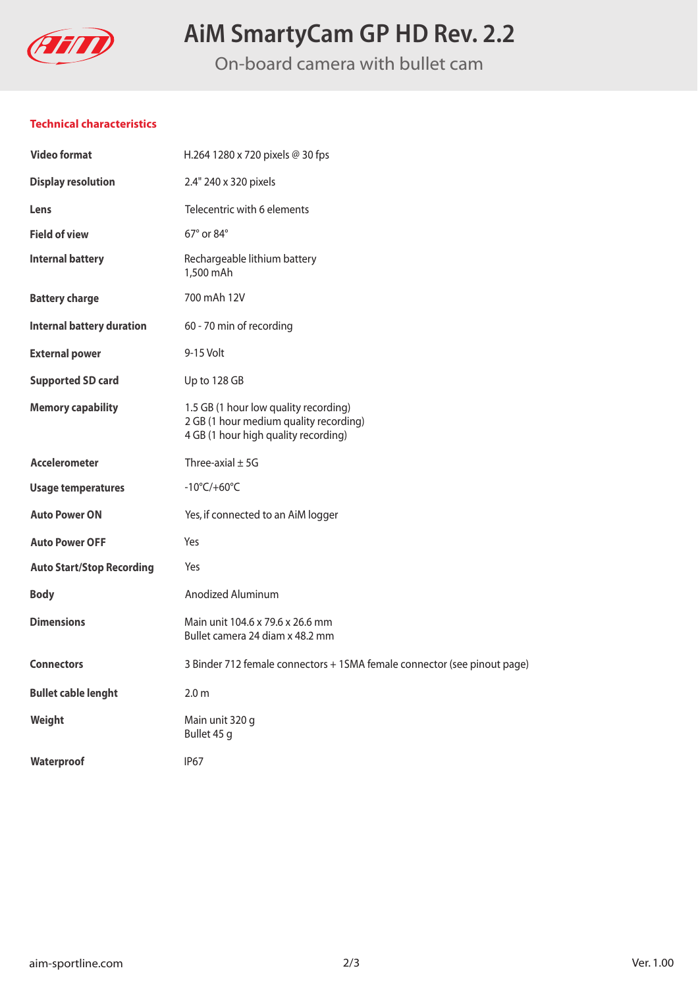

# **AiM SmartyCam GP HD Rev. 2.2**

On-board camera with bullet cam

#### **Technical characteristics**

| <b>Video format</b>              | H.264 1280 x 720 pixels @ 30 fps                                                                                        |
|----------------------------------|-------------------------------------------------------------------------------------------------------------------------|
| <b>Display resolution</b>        | 2.4" 240 x 320 pixels                                                                                                   |
| Lens                             | Telecentric with 6 elements                                                                                             |
| <b>Field of view</b>             | 67° or 84°                                                                                                              |
| <b>Internal battery</b>          | Rechargeable lithium battery<br>1,500 mAh                                                                               |
| <b>Battery charge</b>            | 700 mAh 12V                                                                                                             |
| <b>Internal battery duration</b> | 60 - 70 min of recording                                                                                                |
| <b>External power</b>            | 9-15 Volt                                                                                                               |
| <b>Supported SD card</b>         | Up to 128 GB                                                                                                            |
| <b>Memory capability</b>         | 1.5 GB (1 hour low quality recording)<br>2 GB (1 hour medium quality recording)<br>4 GB (1 hour high quality recording) |
| <b>Accelerometer</b>             | Three-axial $\pm$ 5G                                                                                                    |
| <b>Usage temperatures</b>        | $-10^{\circ}$ C/+60 $^{\circ}$ C                                                                                        |
| <b>Auto Power ON</b>             | Yes, if connected to an AiM logger                                                                                      |
| <b>Auto Power OFF</b>            | Yes                                                                                                                     |
| <b>Auto Start/Stop Recording</b> | Yes                                                                                                                     |
| <b>Body</b>                      | Anodized Aluminum                                                                                                       |
| <b>Dimensions</b>                | Main unit 104.6 x 79.6 x 26.6 mm<br>Bullet camera 24 diam x 48.2 mm                                                     |
| <b>Connectors</b>                | 3 Binder 712 female connectors + 1SMA female connector (see pinout page)                                                |
| <b>Bullet cable lenght</b>       | 2.0 <sub>m</sub>                                                                                                        |
| Weight                           | Main unit 320 g<br>Bullet 45 g                                                                                          |
| Waterproof                       | <b>IP67</b>                                                                                                             |